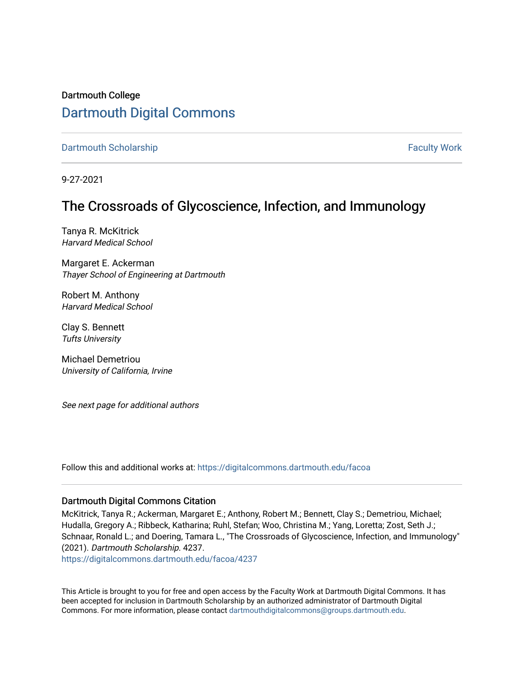Dartmouth College [Dartmouth Digital Commons](https://digitalcommons.dartmouth.edu/) 

[Dartmouth Scholarship](https://digitalcommons.dartmouth.edu/facoa) Faculty Work

9-27-2021

# The Crossroads of Glycoscience, Infection, and Immunology

Tanya R. McKitrick Harvard Medical School

Margaret E. Ackerman Thayer School of Engineering at Dartmouth

Robert M. Anthony Harvard Medical School

Clay S. Bennett Tufts University

Michael Demetriou University of California, Irvine

See next page for additional authors

Follow this and additional works at: [https://digitalcommons.dartmouth.edu/facoa](https://digitalcommons.dartmouth.edu/facoa?utm_source=digitalcommons.dartmouth.edu%2Ffacoa%2F4237&utm_medium=PDF&utm_campaign=PDFCoverPages)

#### Dartmouth Digital Commons Citation

McKitrick, Tanya R.; Ackerman, Margaret E.; Anthony, Robert M.; Bennett, Clay S.; Demetriou, Michael; Hudalla, Gregory A.; Ribbeck, Katharina; Ruhl, Stefan; Woo, Christina M.; Yang, Loretta; Zost, Seth J.; Schnaar, Ronald L.; and Doering, Tamara L., "The Crossroads of Glycoscience, Infection, and Immunology" (2021). Dartmouth Scholarship. 4237.

[https://digitalcommons.dartmouth.edu/facoa/4237](https://digitalcommons.dartmouth.edu/facoa/4237?utm_source=digitalcommons.dartmouth.edu%2Ffacoa%2F4237&utm_medium=PDF&utm_campaign=PDFCoverPages) 

This Article is brought to you for free and open access by the Faculty Work at Dartmouth Digital Commons. It has been accepted for inclusion in Dartmouth Scholarship by an authorized administrator of Dartmouth Digital Commons. For more information, please contact [dartmouthdigitalcommons@groups.dartmouth.edu](mailto:dartmouthdigitalcommons@groups.dartmouth.edu).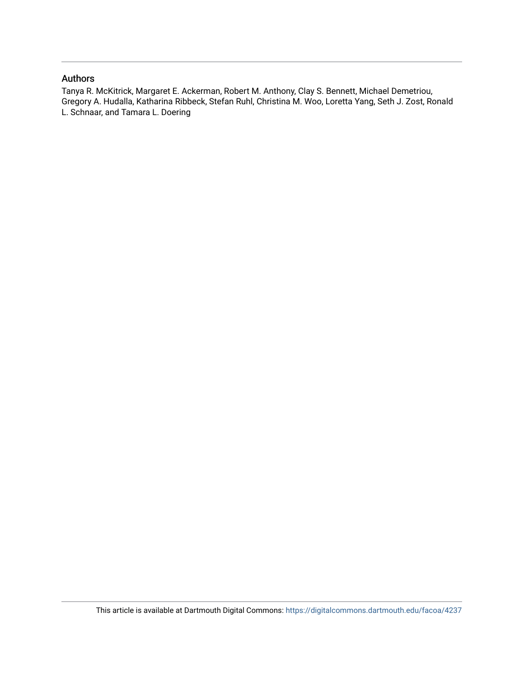#### Authors

Tanya R. McKitrick, Margaret E. Ackerman, Robert M. Anthony, Clay S. Bennett, Michael Demetriou, Gregory A. Hudalla, Katharina Ribbeck, Stefan Ruhl, Christina M. Woo, Loretta Yang, Seth J. Zost, Ronald L. Schnaar, and Tamara L. Doering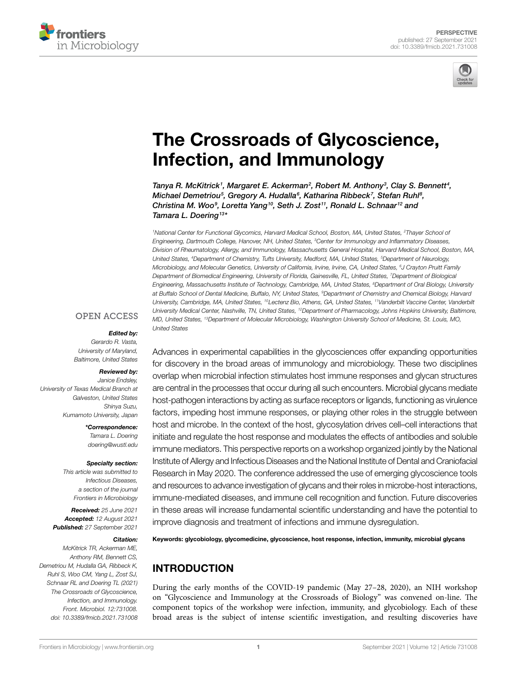



# [The Crossroads of Glycoscience,](https://www.frontiersin.org/articles/10.3389/fmicb.2021.731008/full)  [Infection, and Immunology](https://www.frontiersin.org/articles/10.3389/fmicb.2021.731008/full)

Tanya R. McKitrick<sup>1</sup>, Margaret E. Ackerman<sup>2</sup>, Robert M. Anthony<sup>3</sup>, Clay S. Bennett<sup>4</sup>, *Michael Demetriou<sup>5</sup>, Gregory A. Hudalla<sup>6</sup>, Katharina Ribbeck<sup>7</sup>, Stefan Ruhl<sup>8</sup>,* Christina M. Woo<sup>9</sup>, Loretta Yang<sup>10</sup>, Seth J. Zost<sup>11</sup>, Ronald L. Schnaar<sup>12</sup> and *Tamara L. Doering13\**

*1 National Center for Functional Glycomics, Harvard Medical School, Boston, MA, United States, 2 Thayer School of Engineering, Dartmouth College, Hanover, NH, United States, 3 Center for Immunology and Inflammatory Diseases, Division of Rheumatology, Allergy, and Immunology, Massachusetts General Hospital, Harvard Medical School, Boston, MA, United States, 4 Department of Chemistry, Tufts University, Medford, MA, United States, 5 Department of Neurology, Microbiology, and Molecular Genetics, University of California, Irvine, Irvine, CA, United States, 6 J Crayton Pruitt Family Department of Biomedical Engineering, University of Florida, Gainesville, FL, United States, 7 Department of Biological Engineering, Massachusetts Institute of Technology, Cambridge, MA, United States, 8 Department of Oral Biology, University at Buffalo School of Dental Medicine, Buffalo, NY, United States, 9 Department of Chemistry and Chemical Biology, Harvard University, Cambridge, MA, United States, 10Lectenz Bio, Athens, GA, United States, 11Vanderbilt Vaccine Center, Vanderbilt University Medical Center, Nashville, TN, United States, 12Department of Pharmacology, Johns Hopkins University, Baltimore, MD, United States, 13Department of Molecular Microbiology, Washington University School of Medicine, St. Louis, MO, United States*

#### **OPEN ACCESS**

#### *Edited by:*

*Gerardo R. Vasta, University of Maryland, Baltimore, United States*

#### *Reviewed by:*

*Janice Endsley, University of Texas Medical Branch at Galveston, United States Shinya Suzu, Kumamoto University, Japan*

> *\*Correspondence: Tamara L. Doering [doering@wustl.edu](mailto:doering@wustl.edu)*

#### *Specialty section:*

*This article was submitted to Infectious Diseases, a section of the journal Frontiers in Microbiology*

*Received: 25 June 2021 Accepted: 12 August 2021 Published: 27 September 2021*

#### *Citation:*

*McKitrick TR, Ackerman ME, Anthony RM, Bennett CS, Demetriou M, Hudalla GA, Ribbeck K, Ruhl S, Woo CM, Yang L, Zost SJ, Schnaar RL and Doering TL (2021) The Crossroads of Glycoscience, Infection, and Immunology. Front. Microbiol. 12:731008. [doi: 10.3389/fmicb.2021.731008](https://doi.org/10.3389/fmicb.2021.731008)* Advances in experimental capabilities in the glycosciences offer expanding opportunities for discovery in the broad areas of immunology and microbiology. These two disciplines overlap when microbial infection stimulates host immune responses and glycan structures are central in the processes that occur during all such encounters. Microbial glycans mediate host-pathogen interactions by acting as surface receptors or ligands, functioning as virulence factors, impeding host immune responses, or playing other roles in the struggle between host and microbe. In the context of the host, glycosylation drives cell–cell interactions that initiate and regulate the host response and modulates the effects of antibodies and soluble immune mediators. This perspective reports on a workshop organized jointly by the National Institute of Allergy and Infectious Diseases and the National Institute of Dental and Craniofacial Research in May 2020. The conference addressed the use of emerging glycoscience tools and resources to advance investigation of glycans and their roles in microbe-host interactions, immune-mediated diseases, and immune cell recognition and function. Future discoveries in these areas will increase fundamental scientific understanding and have the potential to improve diagnosis and treatment of infections and immune dysregulation.

Keywords: glycobiology, glycomedicine, glycoscience, host response, infection, immunity, microbial glycans

# INTRODUCTION

During the early months of the COVID-19 pandemic (May 27–28, 2020), an NIH workshop on "Glycoscience and Immunology at the Crossroads of Biology" was convened on-line. The component topics of the workshop were infection, immunity, and glycobiology. Each of these broad areas is the subject of intense scientific investigation, and resulting discoveries have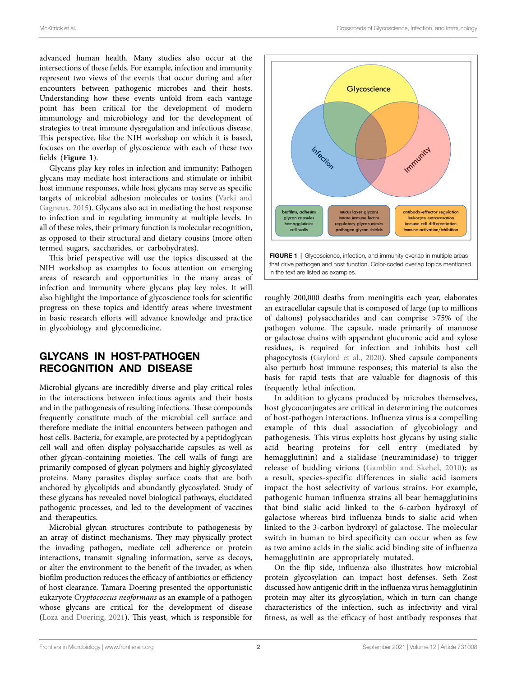advanced human health. Many studies also occur at the intersections of these fields. For example, infection and immunity represent two views of the events that occur during and after encounters between pathogenic microbes and their hosts. Understanding how these events unfold from each vantage point has been critical for the development of modern immunology and microbiology and for the development of strategies to treat immune dysregulation and infectious disease. This perspective, like the NIH workshop on which it is based, focuses on the overlap of glycoscience with each of these two fields (**[Figure 1](#page-3-0)**).

Glycans play key roles in infection and immunity: Pathogen glycans may mediate host interactions and stimulate or inhibit host immune responses, while host glycans may serve as specific targets of microbial adhesion molecules or toxins [\(Varki and](#page-6-0)  [Gagneux, 2015](#page-6-0)). Glycans also act in mediating the host response to infection and in regulating immunity at multiple levels. In all of these roles, their primary function is molecular recognition, as opposed to their structural and dietary cousins (more often termed sugars, saccharides, or carbohydrates).

This brief perspective will use the topics discussed at the NIH workshop as examples to focus attention on emerging areas of research and opportunities in the many areas of infection and immunity where glycans play key roles. It will also highlight the importance of glycoscience tools for scientific progress on these topics and identify areas where investment in basic research efforts will advance knowledge and practice in glycobiology and glycomedicine.

# GLYCANS IN HOST-PATHOGEN RECOGNITION AND DISEASE

Microbial glycans are incredibly diverse and play critical roles in the interactions between infectious agents and their hosts and in the pathogenesis of resulting infections. These compounds frequently constitute much of the microbial cell surface and therefore mediate the initial encounters between pathogen and host cells. Bacteria, for example, are protected by a peptidoglycan cell wall and often display polysaccharide capsules as well as other glycan-containing moieties. The cell walls of fungi are primarily composed of glycan polymers and highly glycosylated proteins. Many parasites display surface coats that are both anchored by glycolipids and abundantly glycosylated. Study of these glycans has revealed novel biological pathways, elucidated pathogenic processes, and led to the development of vaccines and therapeutics.

Microbial glycan structures contribute to pathogenesis by an array of distinct mechanisms. They may physically protect the invading pathogen, mediate cell adherence or protein interactions, transmit signaling information, serve as decoys, or alter the environment to the benefit of the invader, as when biofilm production reduces the efficacy of antibiotics or efficiency of host clearance. Tamara Doering presented the opportunistic eukaryote *Cryptococcus neoformans* as an example of a pathogen whose glycans are critical for the development of disease ([Loza and Doering, 2021\)](#page-6-1). This yeast, which is responsible for

<span id="page-3-0"></span>

that drive pathogen and host function. Color-coded overlap topics mentioned in the text are listed as examples.

roughly 200,000 deaths from meningitis each year, elaborates an extracellular capsule that is composed of large (up to millions of daltons) polysaccharides and can comprise >75% of the pathogen volume. The capsule, made primarily of mannose or galactose chains with appendant glucuronic acid and xylose residues, is required for infection and inhibits host cell phagocytosis ([Gaylord et al., 2020](#page-6-2)). Shed capsule components also perturb host immune responses; this material is also the basis for rapid tests that are valuable for diagnosis of this frequently lethal infection.

In addition to glycans produced by microbes themselves, host glycoconjugates are critical in determining the outcomes of host-pathogen interactions. Influenza virus is a compelling example of this dual association of glycobiology and pathogenesis. This virus exploits host glycans by using sialic acid bearing proteins for cell entry (mediated by hemagglutinin) and a sialidase (neuraminidase) to trigger release of budding virions ([Gamblin and Skehel, 2010\)](#page-6-3); as a result, species-specific differences in sialic acid isomers impact the host selectivity of various strains. For example, pathogenic human influenza strains all bear hemagglutinins that bind sialic acid linked to the 6-carbon hydroxyl of galactose whereas bird influenza binds to sialic acid when linked to the 3-carbon hydroxyl of galactose. The molecular switch in human to bird specificity can occur when as few as two amino acids in the sialic acid binding site of influenza hemagglutinin are appropriately mutated.

On the flip side, influenza also illustrates how microbial protein glycosylation can impact host defenses. Seth Zost discussed how antigenic drift in the influenza virus hemagglutinin protein may alter its glycosylation, which in turn can change characteristics of the infection, such as infectivity and viral fitness, as well as the efficacy of host antibody responses that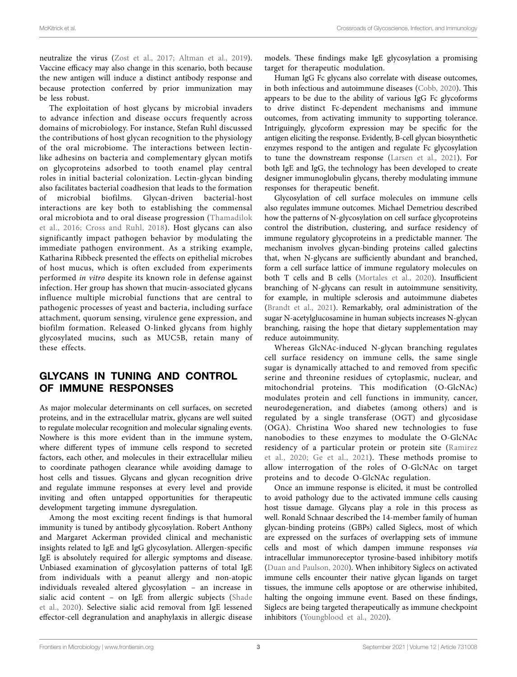neutralize the virus ([Zost et al., 2017](#page-7-0); [Altman et al., 2019](#page-6-4)). Vaccine efficacy may also change in this scenario, both because the new antigen will induce a distinct antibody response and because protection conferred by prior immunization may be less robust.

The exploitation of host glycans by microbial invaders to advance infection and disease occurs frequently across domains of microbiology. For instance, Stefan Ruhl discussed the contributions of host glycan recognition to the physiology of the oral microbiome. The interactions between lectinlike adhesins on bacteria and complementary glycan motifs on glycoproteins adsorbed to tooth enamel play central roles in initial bacterial colonization. Lectin-glycan binding also facilitates bacterial coadhesion that leads to the formation of microbial biofilms. Glycan-driven bacterial-host interactions are key both to establishing the commensal oral microbiota and to oral disease progression ([Thamadilok](#page-6-5)  [et al., 2016](#page-6-5); [Cross and Ruhl, 2018\)](#page-6-6). Host glycans can also significantly impact pathogen behavior by modulating the immediate pathogen environment. As a striking example, Katharina Ribbeck presented the effects on epithelial microbes of host mucus, which is often excluded from experiments performed *in vitro* despite its known role in defense against infection. Her group has shown that mucin-associated glycans influence multiple microbial functions that are central to pathogenic processes of yeast and bacteria, including surface attachment, quorum sensing, virulence gene expression, and biofilm formation. Released O-linked glycans from highly glycosylated mucins, such as MUC5B, retain many of these effects.

#### GLYCANS IN TUNING AND CONTROL OF IMMUNE RESPONSES

As major molecular determinants on cell surfaces, on secreted proteins, and in the extracellular matrix, glycans are well suited to regulate molecular recognition and molecular signaling events. Nowhere is this more evident than in the immune system, where different types of immune cells respond to secreted factors, each other, and molecules in their extracellular milieu to coordinate pathogen clearance while avoiding damage to host cells and tissues. Glycans and glycan recognition drive and regulate immune responses at every level and provide inviting and often untapped opportunities for therapeutic development targeting immune dysregulation.

Among the most exciting recent findings is that humoral immunity is tuned by antibody glycosylation. Robert Anthony and Margaret Ackerman provided clinical and mechanistic insights related to IgE and IgG glycosylation. Allergen-specific IgE is absolutely required for allergic symptoms and disease. Unbiased examination of glycosylation patterns of total IgE from individuals with a peanut allergy and non-atopic individuals revealed altered glycosylation – an increase in sialic acid content – on IgE from allergic subjects [\(Shade](#page-6-7)  [et al., 2020](#page-6-7)). Selective sialic acid removal from IgE lessened effector-cell degranulation and anaphylaxis in allergic disease models. These findings make IgE glycosylation a promising target for therapeutic modulation.

Human IgG Fc glycans also correlate with disease outcomes, in both infectious and autoimmune diseases ([Cobb, 2020](#page-6-8)). This appears to be due to the ability of various IgG Fc glycoforms to drive distinct Fc-dependent mechanisms and immune outcomes, from activating immunity to supporting tolerance. Intriguingly, glycoform expression may be specific for the antigen eliciting the response. Evidently, B-cell glycan biosynthetic enzymes respond to the antigen and regulate Fc glycosylation to tune the downstream response ([Larsen et al., 2021](#page-6-9)). For both IgE and IgG, the technology has been developed to create designer immunoglobulin glycans, thereby modulating immune responses for therapeutic benefit.

Glycosylation of cell surface molecules on immune cells also regulates immune outcomes. Michael Demetriou described how the patterns of N-glycosylation on cell surface glycoproteins control the distribution, clustering, and surface residency of immune regulatory glycoproteins in a predictable manner. The mechanism involves glycan-binding proteins called galectins that, when N-glycans are sufficiently abundant and branched, form a cell surface lattice of immune regulatory molecules on both T cells and B cells ([Mortales et al., 2020\)](#page-6-10). Insufficient branching of N-glycans can result in autoimmune sensitivity, for example, in multiple sclerosis and autoimmune diabetes [\(Brandt et al., 2021\)](#page-6-11). Remarkably, oral administration of the sugar N-acetylglucosamine in human subjects increases N-glycan branching, raising the hope that dietary supplementation may reduce autoimmunity.

Whereas GlcNAc-induced N-glycan branching regulates cell surface residency on immune cells, the same single sugar is dynamically attached to and removed from specific serine and threonine residues of cytoplasmic, nuclear, and mitochondrial proteins. This modification (O-GlcNAc) modulates protein and cell functions in immunity, cancer, neurodegeneration, and diabetes (among others) and is regulated by a single transferase (OGT) and glycosidase (OGA). Christina Woo shared new technologies to fuse nanobodies to these enzymes to modulate the O-GlcNAc residency of a particular protein or protein site ([Ramirez](#page-6-12)  [et al., 2020](#page-6-12); [Ge et al., 2021](#page-6-13)). These methods promise to allow interrogation of the roles of O-GlcNAc on target proteins and to decode O-GlcNAc regulation.

Once an immune response is elicited, it must be controlled to avoid pathology due to the activated immune cells causing host tissue damage. Glycans play a role in this process as well. Ronald Schnaar described the 14-member family of human glycan-binding proteins (GBPs) called Siglecs, most of which are expressed on the surfaces of overlapping sets of immune cells and most of which dampen immune responses *via* intracellular immunoreceptor tyrosine-based inhibitory motifs [\(Duan and Paulson, 2020](#page-6-14)). When inhibitory Siglecs on activated immune cells encounter their native glycan ligands on target tissues, the immune cells apoptose or are otherwise inhibited, halting the ongoing immune event. Based on these findings, Siglecs are being targeted therapeutically as immune checkpoint inhibitors [\(Youngblood et al., 2020\)](#page-6-15).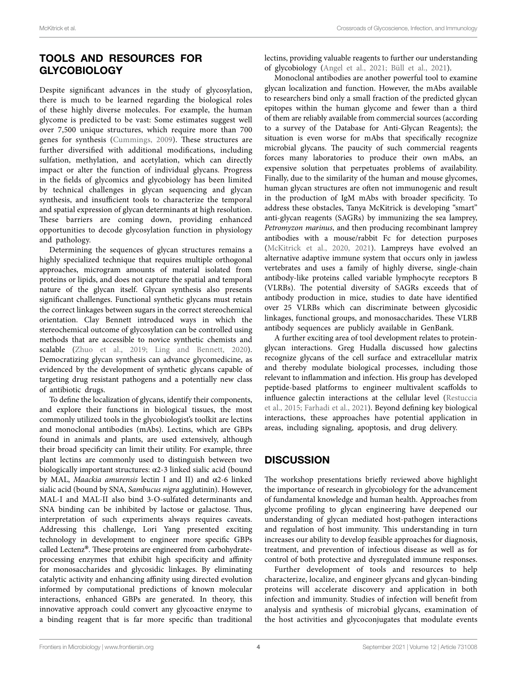# TOOLS AND RESOURCES FOR GLYCOBIOLOGY

Despite significant advances in the study of glycosylation, there is much to be learned regarding the biological roles of these highly diverse molecules. For example, the human glycome is predicted to be vast: Some estimates suggest well over 7,500 unique structures, which require more than 700 genes for synthesis [\(Cummings, 2009\)](#page-6-16). These structures are further diversified with additional modifications, including sulfation, methylation, and acetylation, which can directly impact or alter the function of individual glycans. Progress in the fields of glycomics and glycobiology has been limited by technical challenges in glycan sequencing and glycan synthesis, and insufficient tools to characterize the temporal and spatial expression of glycan determinants at high resolution. These barriers are coming down, providing enhanced opportunities to decode glycosylation function in physiology and pathology.

Determining the sequences of glycan structures remains a highly specialized technique that requires multiple orthogonal approaches, microgram amounts of material isolated from proteins or lipids, and does not capture the spatial and temporal nature of the glycan itself. Glycan synthesis also presents significant challenges. Functional synthetic glycans must retain the correct linkages between sugars in the correct stereochemical orientation. Clay Bennett introduced ways in which the stereochemical outcome of glycosylation can be controlled using methods that are accessible to novice synthetic chemists and scalable (Zhuo et al., 2019; [Ling and Bennett, 2020](#page-6-17)). Democratizing glycan synthesis can advance glycomedicine, as evidenced by the development of synthetic glycans capable of targeting drug resistant pathogens and a potentially new class of antibiotic drugs.

To define the localization of glycans, identify their components, and explore their functions in biological tissues, the most commonly utilized tools in the glycobiologist's toolkit are lectins and monoclonal antibodies (mAbs). Lectins, which are GBPs found in animals and plants, are used extensively, although their broad specificity can limit their utility. For example, three plant lectins are commonly used to distinguish between two biologically important structures: α2-3 linked sialic acid (bound by MAL, *Maackia amurensis* lectin I and II) and α2-6 linked sialic acid (bound by SNA, *Sambucus nigra* agglutinin). However, MAL-I and MAL-II also bind 3-O-sulfated determinants and SNA binding can be inhibited by lactose or galactose. Thus, interpretation of such experiments always requires caveats. Addressing this challenge, Lori Yang presented exciting technology in development to engineer more specific GBPs called Lectenz®. These proteins are engineered from carbohydrateprocessing enzymes that exhibit high specificity and affinity for monosaccharides and glycosidic linkages. By eliminating catalytic activity and enhancing affinity using directed evolution informed by computational predictions of known molecular interactions, enhanced GBPs are generated. In theory, this innovative approach could convert any glycoactive enzyme to a binding reagent that is far more specific than traditional lectins, providing valuable reagents to further our understanding of glycobiology [\(Angel et al., 2021;](#page-6-18) [Büll et al., 2021\)](#page-6-19).

Monoclonal antibodies are another powerful tool to examine glycan localization and function. However, the mAbs available to researchers bind only a small fraction of the predicted glycan epitopes within the human glycome and fewer than a third of them are reliably available from commercial sources (according to a survey of the Database for Anti-Glycan Reagents); the situation is even worse for mAbs that specifically recognize microbial glycans. The paucity of such commercial reagents forces many laboratories to produce their own mAbs, an expensive solution that perpetuates problems of availability. Finally, due to the similarity of the human and mouse glycomes, human glycan structures are often not immunogenic and result in the production of IgM mAbs with broader specificity. To address these obstacles, Tanya McKitrick is developing "smart" anti-glycan reagents (SAGRs) by immunizing the sea lamprey, *Petromyzon marinus*, and then producing recombinant lamprey antibodies with a mouse/rabbit Fc for detection purposes [\(McKitrick et al., 2020,](#page-6-20) [2021](#page-6-21)). Lampreys have evolved an alternative adaptive immune system that occurs only in jawless vertebrates and uses a family of highly diverse, single-chain antibody-like proteins called variable lymphocyte receptors B (VLRBs). The potential diversity of SAGRs exceeds that of antibody production in mice, studies to date have identified over 25 VLRBs which can discriminate between glycosidic linkages, functional groups, and monosaccharides. These VLRB antibody sequences are publicly available in GenBank.

A further exciting area of tool development relates to proteinglycan interactions. Greg Hudalla discussed how galectins recognize glycans of the cell surface and extracellular matrix and thereby modulate biological processes, including those relevant to inflammation and infection. His group has developed peptide-based platforms to engineer multivalent scaffolds to influence galectin interactions at the cellular level ([Restuccia](#page-6-22)  [et al., 2015;](#page-6-22) [Farhadi et al., 2021\)](#page-6-23). Beyond defining key biological interactions, these approaches have potential application in areas, including signaling, apoptosis, and drug delivery.

## **DISCUSSION**

The workshop presentations briefly reviewed above highlight the importance of research in glycobiology for the advancement of fundamental knowledge and human health. Approaches from glycome profiling to glycan engineering have deepened our understanding of glycan mediated host-pathogen interactions and regulation of host immunity. This understanding in turn increases our ability to develop feasible approaches for diagnosis, treatment, and prevention of infectious disease as well as for control of both protective and dysregulated immune responses.

Further development of tools and resources to help characterize, localize, and engineer glycans and glycan-binding proteins will accelerate discovery and application in both infection and immunity. Studies of infection will benefit from analysis and synthesis of microbial glycans, examination of the host activities and glycoconjugates that modulate events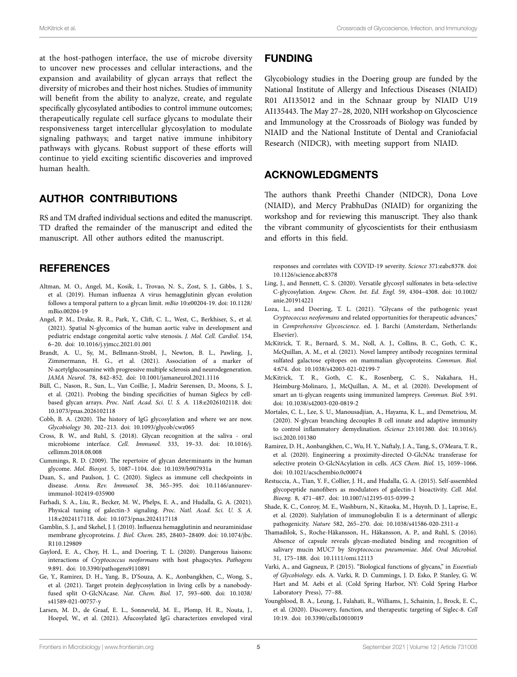at the host-pathogen interface, the use of microbe diversity to uncover new processes and cellular interactions, and the expansion and availability of glycan arrays that reflect the diversity of microbes and their host niches. Studies of immunity will benefit from the ability to analyze, create, and regulate specifically glycosylated antibodies to control immune outcomes; therapeutically regulate cell surface glycans to modulate their responsiveness target intercellular glycosylation to modulate signaling pathways; and target native immune inhibitory pathways with glycans. Robust support of these efforts will continue to yield exciting scientific discoveries and improved human health.

## AUTHOR CONTRIBUTIONS

RS and TM drafted individual sections and edited the manuscript. TD drafted the remainder of the manuscript and edited the manuscript. All other authors edited the manuscript.

## **REFERENCES**

- <span id="page-6-4"></span>Altman, M. O., Angel, M., Kosik, I., Trovao, N. S., Zost, S. J., Gibbs, J. S., et al. (2019). Human influenza A virus hemagglutinin glycan evolution follows a temporal pattern to a glycan limit. *mBio* 10:e00204-19. doi: [10.1128/](https://doi.org/10.1128/mBio.00204-19) [mBio.00204-19](https://doi.org/10.1128/mBio.00204-19)
- <span id="page-6-18"></span>Angel, P. M., Drake, R. R., Park, Y., Clift, C. L., West, C., Berkhiser, S., et al. (2021). Spatial N-glycomics of the human aortic valve in development and pediatric endstage congenital aortic valve stenosis. *J. Mol. Cell. Cardiol.* 154, 6–20. doi: [10.1016/j.yjmcc.2021.01.001](https://doi.org/10.1016/j.yjmcc.2021.01.001)
- <span id="page-6-11"></span>Brandt, A. U., Sy, M., Bellmann-Strobl, J., Newton, B. L., Pawling, J., Zimmermann, H. G., et al. (2021). Association of a marker of N-acetylglucosamine with progressive multiple sclerosis and neurodegeneration. *JAMA Neurol.* 78, 842–852. doi: [10.1001/jamaneurol.2021.1116](https://doi.org/10.1001/jamaneurol.2021.1116)
- <span id="page-6-19"></span>Büll, C., Nason, R., Sun, L., Van Coillie, J., Madriz Sørensen, D., Moons, S. J., et al. (2021). Probing the binding specificities of human Siglecs by cellbased glycan arrays. *Proc. Natl. Acad. Sci. U. S. A.* 118:e2026102118. doi: [10.1073/pnas.2026102118](https://doi.org/10.1073/pnas.2026102118)
- <span id="page-6-8"></span>Cobb, B. A. (2020). The history of IgG glycosylation and where we are now. *Glycobiology* 30, 202–213. doi: [10.1093/glycob/cwz065](https://doi.org/10.1093/glycob/cwz065)
- <span id="page-6-6"></span>Cross, B. W., and Ruhl, S. (2018). Glycan recognition at the saliva - oral microbiome interface. *Cell. Immunol.* 333, 19–33. doi: [10.1016/j.](https://doi.org/10.1016/j.cellimm.2018.08.008) [cellimm.2018.08.008](https://doi.org/10.1016/j.cellimm.2018.08.008)
- <span id="page-6-16"></span>Cummings, R. D. (2009). The repertoire of glycan determinants in the human glycome. *Mol. Biosyst.* 5, 1087–1104. doi: [10.1039/b907931a](https://doi.org/10.1039/b907931a)
- <span id="page-6-14"></span>Duan, S., and Paulson, J. C. (2020). Siglecs as immune cell checkpoints in disease. *Annu. Rev. Immunol.* 38, 365–395. doi: [10.1146/annurev](https://doi.org/10.1146/annurev-immunol-102419-035900)[immunol-102419-035900](https://doi.org/10.1146/annurev-immunol-102419-035900)
- <span id="page-6-23"></span>Farhadi, S. A., Liu, R., Becker, M. W., Phelps, E. A., and Hudalla, G. A. (2021). Physical tuning of galectin-3 signaling. *Proc. Natl. Acad. Sci. U. S. A.* 118:e2024117118. doi: [10.1073/pnas.2024117118](https://doi.org/10.1073/pnas.2024117118)
- <span id="page-6-3"></span>Gamblin, S. J., and Skehel, J. J. (2010). Influenza hemagglutinin and neuraminidase membrane glycoproteins. *J. Biol. Chem.* 285, 28403–28409. doi: [10.1074/jbc.](https://doi.org/10.1074/jbc.R110.129809) [R110.129809](https://doi.org/10.1074/jbc.R110.129809)
- <span id="page-6-2"></span>Gaylord, E. A., Choy, H. L., and Doering, T. L. (2020). Dangerous liaisons: interactions of *Cryptococcus neoformans* with host phagocytes. *Pathogens* 9:891. doi: [10.3390/pathogens9110891](https://doi.org/10.3390/pathogens9110891)
- <span id="page-6-13"></span>Ge, Y., Ramirez, D. H., Yang, B., D'Souza, A. K., Aonbangkhen, C., Wong, S., et al. (2021). Target protein deglycosylation in living cells by a nanobodyfused split O-GlcNAcase. *Nat. Chem. Biol.* 17, 593–600. doi: [10.1038/](https://doi.org/10.1038/s41589-021-00757-y) [s41589-021-00757-y](https://doi.org/10.1038/s41589-021-00757-y)
- <span id="page-6-9"></span>Larsen, M. D., de Graaf, E. L., Sonneveld, M. E., Plomp, H. R., Nouta, J., Hoepel, W., et al. (2021). Afucosylated IgG characterizes enveloped viral

#### FUNDING

Glycobiology studies in the Doering group are funded by the National Institute of Allergy and Infectious Diseases (NIAID) R01 AI135012 and in the Schnaar group by NIAID U19 AI135443. The May 27–28, 2020, NIH workshop on Glycoscience and Immunology at the Crossroads of Biology was funded by NIAID and the National Institute of Dental and Craniofacial Research (NIDCR), with meeting support from NIAID.

## ACKNOWLEDGMENTS

The authors thank Preethi Chander (NIDCR), Dona Love (NIAID), and Mercy PrabhuDas (NIAID) for organizing the workshop and for reviewing this manuscript. They also thank the vibrant community of glycoscientists for their enthusiasm and efforts in this field.

responses and correlates with COVID-19 severity. *Science* 371:eabc8378. doi: [10.1126/science.abc8378](https://doi.org/10.1126/science.abc8378)

- <span id="page-6-17"></span>Ling, J., and Bennett, C. S. (2020). Versatile glycosyl sulfonates in beta-selective C-glycosylation. *Angew. Chem. Int. Ed. Engl.* 59, 4304–4308. doi: [10.1002/](https://doi.org/10.1002/anie.201914221) [anie.201914221](https://doi.org/10.1002/anie.201914221)
- <span id="page-6-1"></span>Loza, L., and Doering, T. L. (2021). "Glycans of the pathogenic yeast *Cryptococcus neoformans* and related opportunities for therapeutic advances," in *Comprehensive Glycoscience*. ed. J. Barchi (Amsterdam, Netherlands: Elsevier).
- <span id="page-6-21"></span>McKitrick, T. R., Bernard, S. M., Noll, A. J., Collins, B. C., Goth, C. K., McQuillan, A. M., et al. (2021). Novel lamprey antibody recognizes terminal sulfated galactose epitopes on mammalian glycoproteins. *Commun. Biol.* 4:674. doi: [10.1038/s42003-021-02199-7](https://doi.org/10.1038/s42003-021-02199-7)
- <span id="page-6-20"></span>McKitrick, T. R., Goth, C. K., Rosenberg, C. S., Nakahara, H., Heimburg-Molinaro, J., McQuillan, A. M., et al. (2020). Development of smart an ti-glycan reagents using immunized lampreys. *Commun. Biol.* 3:91. doi: [10.1038/s42003-020-0819-2](https://doi.org/10.1038/s42003-020-0819-2)
- <span id="page-6-10"></span>Mortales, C. L., Lee, S. U., Manousadjian, A., Hayama, K. L., and Demetriou, M. (2020). N-glycan branching decouples B cell innate and adaptive immunity to control inflammatory demyelination. *iScience* 23:101380. doi: [10.1016/j.](https://doi.org/10.1016/j.isci.2020.101380) [isci.2020.101380](https://doi.org/10.1016/j.isci.2020.101380)
- <span id="page-6-12"></span>Ramirez, D. H., Aonbangkhen, C., Wu, H. Y., Naftaly, J. A., Tang, S., O'Meara, T. R., et al. (2020). Engineering a proximity-directed O-GlcNAc transferase for selective protein O-GlcNAcylation in cells. *ACS Chem. Biol.* 15, 1059–1066. doi: [10.1021/acschembio.0c00074](https://doi.org/10.1021/acschembio.0c00074)
- <span id="page-6-22"></span>Restuccia, A., Tian, Y. F., Collier, J. H., and Hudalla, G. A. (2015). Self-assembled glycopeptide nanofibers as modulators of galectin-1 bioactivity. *Cell. Mol. Bioeng.* 8, 471–487. doi: [10.1007/s12195-015-0399-2](https://doi.org/10.1007/s12195-015-0399-2)
- <span id="page-6-7"></span>Shade, K. C., Conroy, M. E., Washburn, N., Kitaoka, M., Huynh, D. J., Laprise, E., et al. (2020). Sialylation of immunoglobulin E is a determinant of allergic pathogenicity. *Nature* 582, 265–270. doi: [10.1038/s41586-020-2311-z](https://doi.org/10.1038/s41586-020-2311-z)
- <span id="page-6-5"></span>Thamadilok, S., Roche-Håkansson, H., Håkansson, A. P., and Ruhl, S. (2016). Absence of capsule reveals glycan-mediated binding and recognition of salivary mucin MUC7 by *Streptococcus pneumoniae*. *Mol. Oral Microbiol.* 31, 175–188. doi: [10.1111/omi.12113](https://doi.org/10.1111/omi.12113)
- <span id="page-6-0"></span>Varki, A., and Gagneux, P. (2015). "Biological functions of glycans," in *Essentials of Glycobiology*. eds. A. Varki, R. D. Cummings, J. D. Esko, P. Stanley, G. W. Hart and M. Aebi et al. (Cold Spring Harbor, NY: Cold Spring Harbor Laboratory Press), 77–88.
- <span id="page-6-15"></span>Youngblood, B. A., Leung, J., Falahati, R., Williams, J., Schainin, J., Brock, E. C., et al. (2020). Discovery, function, and therapeutic targeting of Siglec-8. *Cell* 10:19. doi: [10.3390/cells10010019](https://doi.org/10.3390/cells10010019)